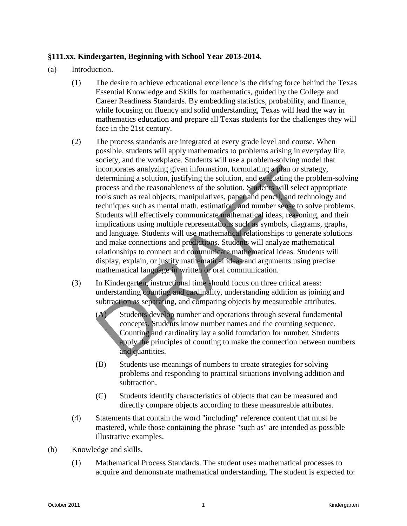## **§111.xx. Kindergarten, Beginning with School Year 2013-2014.**

- (a) Introduction.
	- (1) The desire to achieve educational excellence is the driving force behind the Texas Essential Knowledge and Skills for mathematics, guided by the College and Career Readiness Standards. By embedding statistics, probability, and finance, while focusing on fluency and solid understanding, Texas will lead the way in mathematics education and prepare all Texas students for the challenges they will face in the 21st century.
- (2) The process standards are integrated at every grade level and course. When possible, students will apply mathematics to problems arising in everyday life, society, and the workplace. Students will use a problem-solving model that incorporates analyzing given information, formulating a plan or strategy, determining a solution, justifying the solution, and evaluating the problem-solving process and the reasonableness of the solution. Students will select appropriate tools such as real objects, manipulatives, paper and pencil, and technology and techniques such as mental math, estimation, and number sense to solve problems. Students will effectively communicate mathematical ideas, reasoning, and their implications using multiple representations such as symbols, diagrams, graphs, and language. Students will use mathematical relationships to generate solutions and make connections and predictions. Students will analyze mathematical relationships to connect and communicate mathematical ideas. Students will display, explain, or justify mathematical ideas and arguments using precise mathematical language in written or oral communication. Example and the state of the solution of completion and existential and the solution of the solution and existential process and the reasonable mess of the solution, and existed and problem solving the contenting a soluti
	- (3) In Kindergarten, instructional time should focus on three critical areas: understanding counting and cardinality, understanding addition as joining and subtraction as separating, and comparing objects by measureable attributes.
		- (A) Students develop number and operations through several fundamental concepts. Students know number names and the counting sequence. Counting and cardinality lay a solid foundation for number. Students apply the principles of counting to make the connection between numbers and quantities.
		- (B) Students use meanings of numbers to create strategies for solving problems and responding to practical situations involving addition and subtraction.
		- (C) Students identify characteristics of objects that can be measured and directly compare objects according to these measureable attributes.
	- (4) Statements that contain the word "including" reference content that must be mastered, while those containing the phrase "such as" are intended as possible illustrative examples.
- (b) Knowledge and skills.
	- (1) Mathematical Process Standards. The student uses mathematical processes to acquire and demonstrate mathematical understanding. The student is expected to: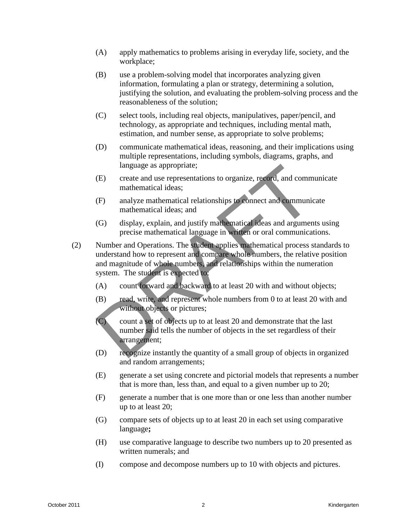- (A) apply mathematics to problems arising in everyday life, society, and the workplace;
- (B) use a problem-solving model that incorporates analyzing given information, formulating a plan or strategy, determining a solution, justifying the solution, and evaluating the problem-solving process and the reasonableness of the solution;
- (C) select tools, including real objects, manipulatives, paper/pencil, and technology, as appropriate and techniques, including mental math, estimation, and number sense, as appropriate to solve problems;
- (D) communicate mathematical ideas, reasoning, and their implications using multiple representations, including symbols, diagrams, graphs, and language as appropriate;
- (E) create and use representations to organize, record, and communicate mathematical ideas;
- (F) analyze mathematical relationships to connect and communicate mathematical ideas; and
- (G) display, explain, and justify mathematical ideas and arguments using precise mathematical language in written or oral communications.
- (2) Number and Operations. The student applies mathematical process standards to understand how to represent and compare whole numbers, the relative position and magnitude of whole numbers, and relationships within the numeration system. The student is expected to: Inguage as appropriate:<br>
(E) create and use regressed and communicate<br>
rankbennatical relationships to communicate<br>
mathematical relationships of connect and communicate<br>
mathematical relationships of communicate<br>
mathemat
	- (A) count forward and backward to at least 20 with and without objects;
	- (B) read, write, and represent whole numbers from 0 to at least 20 with and without objects or pictures;
	- (C) count a set of objects up to at least 20 and demonstrate that the last number said tells the number of objects in the set regardless of their arrangement;
	- (D) recognize instantly the quantity of a small group of objects in organized and random arrangements;
	- (E) generate a set using concrete and pictorial models that represents a number that is more than, less than, and equal to a given number up to 20;
	- (F) generate a number that is one more than or one less than another number up to at least 20;
	- (G) compare sets of objects up to at least 20 in each set using comparative language**;**
	- (H) use comparative language to describe two numbers up to 20 presented as written numerals; and
	- (I) compose and decompose numbers up to 10 with objects and pictures.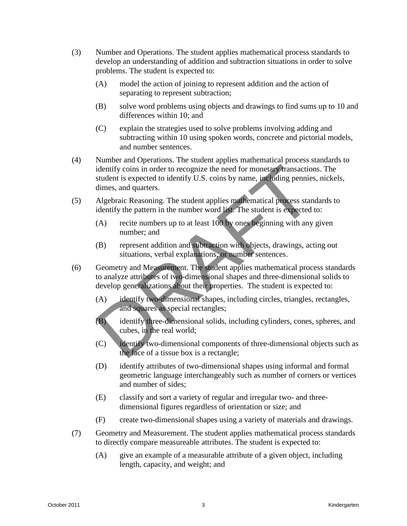- (3) Number and Operations. The student applies mathematical process standards to develop an understanding of addition and subtraction situations in order to solve problems. The student is expected to:
	- (A) model the action of joining to represent addition and the action of separating to represent subtraction;
	- (B) solve word problems using objects and drawings to find sums up to 10 and differences within 10; and
	- (C) explain the strategies used to solve problems involving adding and subtracting within 10 using spoken words, concrete and pictorial models, and number sentences.
- (4) Number and Operations. The student applies mathematical process standards to identify coins in order to recognize the need for monetary transactions. The student is expected to identify U.S. coins by name, including pennies, nickels, dimes, and quarters. Stating coins in order to recognize the need for monetal ransactions. The<br>stating coins in order to recognize the need for monetal ransactions. The<br>stating permise, and quarters.<br>(5) Algebraic Resorction the number word i
	- (5) Algebraic Reasoning. The student applies mathematical process standards to identify the pattern in the number word list. The student is expected to:
		- (A) recite numbers up to at least 100 by ones beginning with any given number; and
		- (B) represent addition and subtraction with objects, drawings, acting out situations, verbal explanations, or number sentences.
	- (6) Geometry and Measurement. The student applies mathematical process standards to analyze attributes of two-dimensional shapes and three-dimensional solids to develop generalizations about their properties. The student is expected to:
		- (A) identify two-dimensional shapes, including circles, triangles, rectangles, and squares as special rectangles;
		- (B) identify three-dimensional solids, including cylinders, cones, spheres, and cubes, in the real world;
		- (C) identify two-dimensional components of three-dimensional objects such as the face of a tissue box is a rectangle;
		- (D) identify attributes of two-dimensional shapes using informal and formal geometric language interchangeably such as number of corners or vertices and number of sides;
		- (E) classify and sort a variety of regular and irregular two- and threedimensional figures regardless of orientation or size; and
		- (F) create two-dimensional shapes using a variety of materials and drawings.
	- (7) Geometry and Measurement. The student applies mathematical process standards to directly compare measureable attributes. The student is expected to:
		- (A) give an example of a measurable attribute of a given object, including length, capacity, and weight; and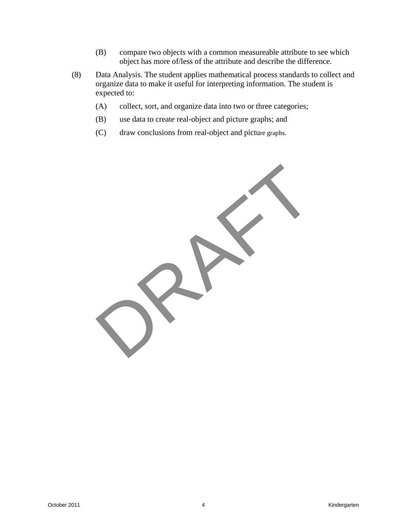- (B) compare two objects with a common measureable attribute to see which object has more of/less of the attribute and describe the difference.
- (8) Data Analysis. The student applies mathematical process standards to collect and organize data to make it useful for interpreting information. The student is expected to:
	- (A) collect, sort, and organize data into two or three categories;
	- (B) use data to create real-object and picture graphs; and
	- (C) draw conclusions from real-object and picture graphs.

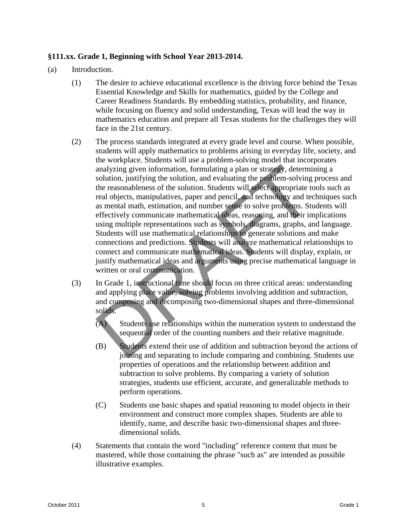# **§111.xx. Grade 1, Beginning with School Year 2013-2014.**

- (a) Introduction.
	- (1) The desire to achieve educational excellence is the driving force behind the Texas Essential Knowledge and Skills for mathematics, guided by the College and Career Readiness Standards. By embedding statistics, probability, and finance, while focusing on fluency and solid understanding, Texas will lead the way in mathematics education and prepare all Texas students for the challenges they will face in the 21st century.
	- (2) The process standards integrated at every grade level and course. When possible, students will apply mathematics to problems arising in everyday life, society, and the workplace. Students will use a problem-solving model that incorporates analyzing given information, formulating a plan or strategy, determining a solution, justifying the solution, and evaluating the problem-solving process and the reasonableness of the solution. Students will select appropriate tools such as real objects, manipulatives, paper and pencil, and technology and techniques such as mental math, estimation, and number sense to solve problems. Students will effectively communicate mathematical ideas, reasoning, and their implications using multiple representations such as symbols, diagrams, graphs, and language. Students will use mathematical relationships to generate solutions and make connections and predictions. Students will analyze mathematical relationships to connect and communicate mathematical ideas. Students will display, explain, or justify mathematical ideas and arguments using precise mathematical language in written or oral communication. and a more area computed in the security and a more and analyzing given information, formulating a plan or strategy, determinibution, justifying the solution, and evaluating the problem-solving the reasonableness of the so
	- (3) In Grade 1, instructional time should focus on three critical areas: understanding and applying place value, solving problems involving addition and subtraction, and composing and decomposing two-dimensional shapes and three-dimensional solids.
		- (A) Students use relationships within the numeration system to understand the sequential order of the counting numbers and their relative magnitude.
		- (B) Students extend their use of addition and subtraction beyond the actions of joining and separating to include comparing and combining. Students use properties of operations and the relationship between addition and subtraction to solve problems. By comparing a variety of solution strategies, students use efficient, accurate, and generalizable methods to perform operations.
		- (C) Students use basic shapes and spatial reasoning to model objects in their environment and construct more complex shapes. Students are able to identify, name, and describe basic two-dimensional shapes and threedimensional solids.
	- (4) Statements that contain the word "including" reference content that must be mastered, while those containing the phrase "such as" are intended as possible illustrative examples.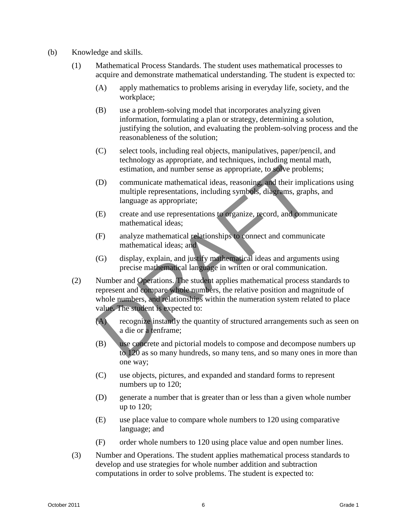- (b) Knowledge and skills.
	- (1) Mathematical Process Standards. The student uses mathematical processes to acquire and demonstrate mathematical understanding. The student is expected to:
		- (A) apply mathematics to problems arising in everyday life, society, and the workplace;
		- (B) use a problem-solving model that incorporates analyzing given information, formulating a plan or strategy, determining a solution, justifying the solution, and evaluating the problem-solving process and the reasonableness of the solution;
		- (C) select tools, including real objects, manipulatives, paper/pencil, and technology as appropriate, and techniques, including mental math, estimation, and number sense as appropriate, to solve problems;
		- (D) communicate mathematical ideas, reasoning, and their implications using multiple representations, including symbols, diagrams, graphs, and language as appropriate;
		- (E) create and use representations to organize, record, and communicate mathematical ideas;
		- (F) analyze mathematical relationships to connect and communicate mathematical ideas; and
		- (G) display, explain, and justify mathematical ideas and arguments using precise mathematical language in written or oral communication.
	- (2) Number and Operations. The student applies mathematical process standards to represent and compare whole numbers, the relative position and magnitude of whole numbers, and relationships within the numeration system related to place value. The student is expected to: communicate mathematical ideas, reasoning and their implies<br>
	(D) communicate mathematical ideas, reasoning and their implies<br>
	(D) communicate mathematical ideas, reasoning and their implies<br>
	invalige epresentations, includ
		- (A) recognize instantly the quantity of structured arrangements such as seen on a die or a tenframe;
		- (B) use concrete and pictorial models to compose and decompose numbers up to 120 as so many hundreds, so many tens, and so many ones in more than one way;
		- (C) use objects, pictures, and expanded and standard forms to represent numbers up to 120;
		- (D) generate a number that is greater than or less than a given whole number up to 120;
		- (E) use place value to compare whole numbers to 120 using comparative language; and
		- (F) order whole numbers to 120 using place value and open number lines.
	- (3) Number and Operations. The student applies mathematical process standards to develop and use strategies for whole number addition and subtraction computations in order to solve problems. The student is expected to: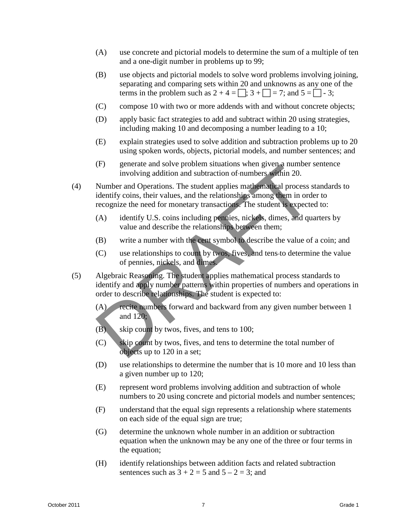- (A) use concrete and pictorial models to determine the sum of a multiple of ten and a one-digit number in problems up to 99;
- (B) use objects and pictorial models to solve word problems involving joining, separating and comparing sets within 20 and unknowns as any one of the terms in the problem such as  $2 + 4 = \square$ ;  $3 + \square = 7$ ; and  $5 = \square - 3$ ;
- (C) compose 10 with two or more addends with and without concrete objects;
- (D) apply basic fact strategies to add and subtract within 20 using strategies, including making 10 and decomposing a number leading to a 10;
- (E) explain strategies used to solve addition and subtraction problems up to 20 using spoken words, objects, pictorial models, and number sentences; and
- (F) generate and solve problem situations when given a number sentence involving addition and subtraction of numbers within 20.
- (4) Number and Operations. The student applies mathematical process standards to identify coins, their values, and the relationships among them in order to recognize the need for monetary transactions. The student is expected to: (F) generate and solve problem situations when given a number involving addition and subtraction of-numbers within 20.<br>
Number and Operations. The student applies mathematical process s<br>
identify coins, their values, and
	- (A) identify U.S. coins including pennies, nickels, dimes, and quarters by value and describe the relationships between them;
	- (B) write a number with the cent symbol to describe the value of a coin; and
	- (C) use relationships to count by twos, fives, and tens to determine the value of pennies, nickels, and dimes.
- (5) Algebraic Reasoning. The student applies mathematical process standards to identify and apply number patterns within properties of numbers and operations in order to describe relationships. The student is expected to:
	- (A) recite numbers forward and backward from any given number between 1 and 120;
	- (B) skip count by twos, fives, and tens to 100;
	- (C) skip count by twos, fives, and tens to determine the total number of objects up to 120 in a set;
	- (D) use relationships to determine the number that is 10 more and 10 less than a given number up to 120;
	- (E) represent word problems involving addition and subtraction of whole numbers to 20 using concrete and pictorial models and number sentences;
	- (F) understand that the equal sign represents a relationship where statements on each side of the equal sign are true;
	- (G) determine the unknown whole number in an addition or subtraction equation when the unknown may be any one of the three or four terms in the equation;
	- (H) identify relationships between addition facts and related subtraction sentences such as  $3 + 2 = 5$  and  $5 - 2 = 3$ ; and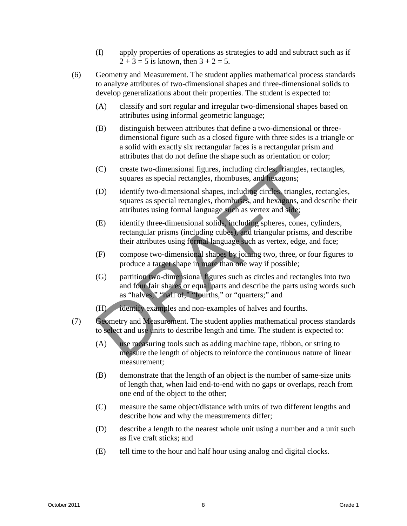- (I) apply properties of operations as strategies to add and subtract such as if  $2 + 3 = 5$  is known, then  $3 + 2 = 5$ .
- (6) Geometry and Measurement. The student applies mathematical process standards to analyze attributes of two-dimensional shapes and three-dimensional solids to develop generalizations about their properties. The student is expected to:
	- (A) classify and sort regular and irregular two-dimensional shapes based on attributes using informal geometric language;
	- (B) distinguish between attributes that define a two-dimensional or threedimensional figure such as a closed figure with three sides is a triangle or a solid with exactly six rectangular faces is a rectangular prism and attributes that do not define the shape such as orientation or color;
	- (C) create two-dimensional figures, including circles, triangles, rectangles, squares as special rectangles, rhombuses, and hexagons;
	- (D) identify two-dimensional shapes, including circles, triangles, rectangles, squares as special rectangles, rhombuses, and hexagons, and describe their attributes using formal language such as vertex and side;
	- (E) identify three-dimensional solids, including spheres, cones, cylinders, rectangular prisms (including cubes), and triangular prisms, and describe their attributes using formal language such as vertex, edge, and face;
	- (F) compose two-dimensional shapes by joining two, three, or four figures to produce a target shape in more than one way if possible;
	- (G) partition two-dimensional figures such as circles and rectangles into two and four fair shares or equal parts and describe the parts using words such as "halves," "half of," "fourths," or "quarters;" and (C) create two-dimensional figures, including circles, riangles, r<br>squares as special rectangles, rhombuses, and hexagons;<br>(D) identify two-dimensional shapes, including circles, triangles,<br>squares as special rectangles,
	- (H) identify examples and non-examples of halves and fourths.
- (7) Geometry and Measurement. The student applies mathematical process standards to select and use units to describe length and time. The student is expected to:
	- (A) use measuring tools such as adding machine tape, ribbon, or string to measure the length of objects to reinforce the continuous nature of linear measurement;
	- (B) demonstrate that the length of an object is the number of same-size units of length that, when laid end-to-end with no gaps or overlaps, reach from one end of the object to the other;
	- (C) measure the same object/distance with units of two different lengths and describe how and why the measurements differ;
	- (D) describe a length to the nearest whole unit using a number and a unit such as five craft sticks; and
	- (E) tell time to the hour and half hour using analog and digital clocks.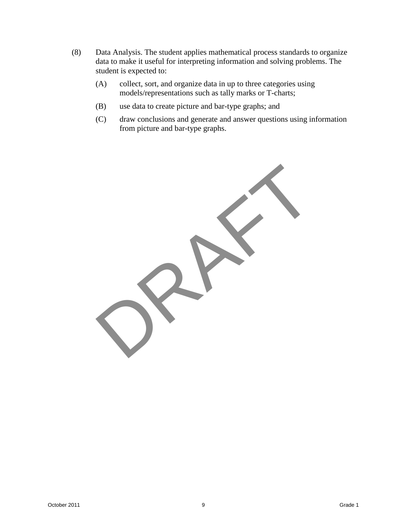- (8) Data Analysis. The student applies mathematical process standards to organize data to make it useful for interpreting information and solving problems. The student is expected to:
	- (A) collect, sort, and organize data in up to three categories using models/representations such as tally marks or T-charts;
	- (B) use data to create picture and bar-type graphs; and
	- (C) draw conclusions and generate and answer questions using information from picture and bar-type graphs.

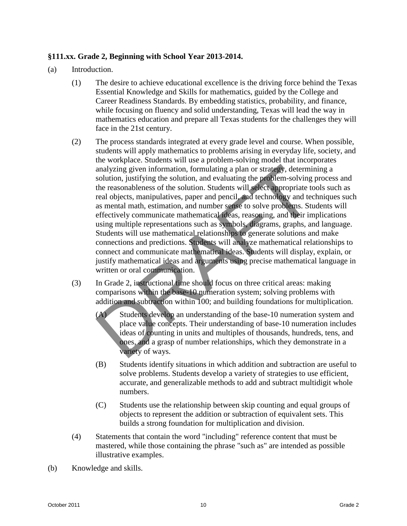# **§111.xx. Grade 2, Beginning with School Year 2013-2014.**

- (a) Introduction.
	- (1) The desire to achieve educational excellence is the driving force behind the Texas Essential Knowledge and Skills for mathematics, guided by the College and Career Readiness Standards. By embedding statistics, probability, and finance, while focusing on fluency and solid understanding, Texas will lead the way in mathematics education and prepare all Texas students for the challenges they will face in the 21st century.
	- (2) The process standards integrated at every grade level and course. When possible, students will apply mathematics to problems arising in everyday life, society, and the workplace. Students will use a problem-solving model that incorporates analyzing given information, formulating a plan or strategy, determining a solution, justifying the solution, and evaluating the problem-solving process and the reasonableness of the solution. Students will select appropriate tools such as real objects, manipulatives, paper and pencil, and technology and techniques such as mental math, estimation, and number sense to solve problems. Students will effectively communicate mathematical ideas, reasoning, and their implications using multiple representations such as symbols, diagrams, graphs, and language. Students will use mathematical relationships to generate solutions and make connections and predictions. Students will analyze mathematical relationships to connect and communicate mathematical ideas. Students will display, explain, or justify mathematical ideas and arguments using precise mathematical language in written or oral communication. and with the base-to-to-<br>analyzing given information, formulating a plan or strategy, determined<br>ution, justifying the solution, and evaluating the problem-solving<br>the reasonableness of the solution. Students will select a
	- (3) In Grade 2, instructional time should focus on three critical areas: making comparisons within the base-10 numeration system; solving problems with addition and subtraction within 100; and building foundations for multiplication.
		- (A) Students develop an understanding of the base-10 numeration system and place value concepts. Their understanding of base-10 numeration includes ideas of counting in units and multiples of thousands, hundreds, tens, and ones, and a grasp of number relationships, which they demonstrate in a variety of ways.
		- (B) Students identify situations in which addition and subtraction are useful to solve problems. Students develop a variety of strategies to use efficient, accurate, and generalizable methods to add and subtract multidigit whole numbers.
		- (C) Students use the relationship between skip counting and equal groups of objects to represent the addition or subtraction of equivalent sets. This builds a strong foundation for multiplication and division.
	- (4) Statements that contain the word "including" reference content that must be mastered, while those containing the phrase "such as" are intended as possible illustrative examples.
- (b) Knowledge and skills.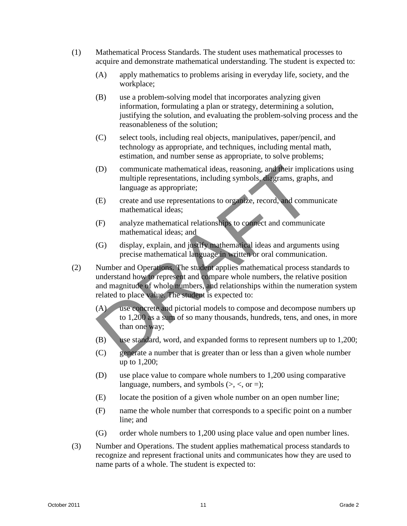- (1) Mathematical Process Standards. The student uses mathematical processes to acquire and demonstrate mathematical understanding. The student is expected to:
	- (A) apply mathematics to problems arising in everyday life, society, and the workplace;
	- (B) use a problem-solving model that incorporates analyzing given information, formulating a plan or strategy, determining a solution, justifying the solution, and evaluating the problem-solving process and the reasonableness of the solution;
	- (C) select tools, including real objects, manipulatives, paper/pencil, and technology as appropriate, and techniques, including mental math, estimation, and number sense as appropriate, to solve problems;
	- (D) communicate mathematical ideas, reasoning, and their implications using multiple representations, including symbols, diagrams, graphs, and language as appropriate;
	- (E) create and use representations to organize, record, and communicate mathematical ideas;
	- (F) analyze mathematical relationships to connect and communicate mathematical ideas; and
	- (G) display, explain, and justify mathematical ideas and arguments using precise mathematical language in written or oral communication.
- (2) Number and Operations. The student applies mathematical process standards to understand how to represent and compare whole numbers, the relative position and magnitude of whole numbers, and relationships within the numeration system related to place value. The student is expected to: (D) communicate mathematical ideas, reasoning, and their implication in the implication of the interpresentations, including symbols, diagrams, graph language as appropriate;<br>
(E) create and use representations to organiz
	- (A) use concrete and pictorial models to compose and decompose numbers up to 1,200 as a sum of so many thousands, hundreds, tens, and ones, in more than one way;
	- (B) use standard, word, and expanded forms to represent numbers up to 1,200;
	- (C) generate a number that is greater than or less than a given whole number up to 1,200;
	- (D) use place value to compare whole numbers to 1,200 using comparative language, numbers, and symbols  $(>, <, or =);$
	- (E) locate the position of a given whole number on an open number line;
	- (F) name the whole number that corresponds to a specific point on a number line; and
	- (G) order whole numbers to 1,200 using place value and open number lines.
- (3) Number and Operations. The student applies mathematical process standards to recognize and represent fractional units and communicates how they are used to name parts of a whole. The student is expected to: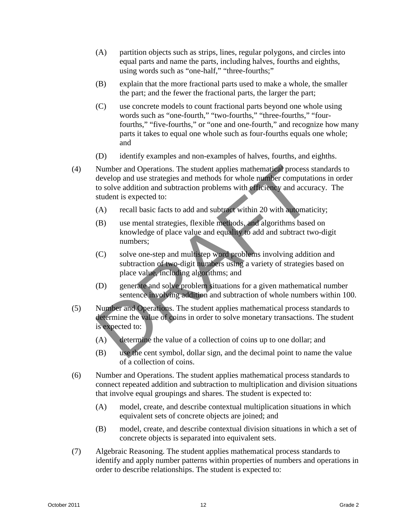- (A) partition objects such as strips, lines, regular polygons, and circles into equal parts and name the parts, including halves, fourths and eighths, using words such as "one-half," "three-fourths;"
- (B) explain that the more fractional parts used to make a whole, the smaller the part; and the fewer the fractional parts, the larger the part;
- (C) use concrete models to count fractional parts beyond one whole using words such as "one-fourth," "two-fourths," "three-fourths," "fourfourths," "five-fourths," or "one and one-fourth," and recognize how many parts it takes to equal one whole such as four-fourths equals one whole; and
- (D) identify examples and non-examples of halves, fourths, and eighths.
- (4) Number and Operations. The student applies mathematical process standards to develop and use strategies and methods for whole number computations in order to solve addition and subtraction problems with efficiency and accuracy. The student is expected to: Number and Operations. The student applies mathematical process s<br>develop and use strategies and methods for whole number computati<br>to solve addition and subtraction problems with efficiency and accur<br>student is expected t
	- (A) recall basic facts to add and subtract within 20 with automaticity;
	- (B) use mental strategies, flexible methods, and algorithms based on knowledge of place value and equality to add and subtract two-digit numbers;
	- (C) solve one-step and multistep word problems involving addition and subtraction of two-digit numbers using a variety of strategies based on place value, including algorithms; and
	- (D) generate and solve problem situations for a given mathematical number sentence involving addition and subtraction of whole numbers within 100.
- (5) Number and Operations. The student applies mathematical process standards to determine the value of coins in order to solve monetary transactions. The student is expected to:
	- (A) determine the value of a collection of coins up to one dollar; and
	- (B) use the cent symbol, dollar sign, and the decimal point to name the value of a collection of coins.
- (6) Number and Operations. The student applies mathematical process standards to connect repeated addition and subtraction to multiplication and division situations that involve equal groupings and shares. The student is expected to:
	- (A) model, create, and describe contextual multiplication situations in which equivalent sets of concrete objects are joined; and
	- (B) model, create, and describe contextual division situations in which a set of concrete objects is separated into equivalent sets.
- (7) Algebraic Reasoning. The student applies mathematical process standards to identify and apply number patterns within properties of numbers and operations in order to describe relationships. The student is expected to: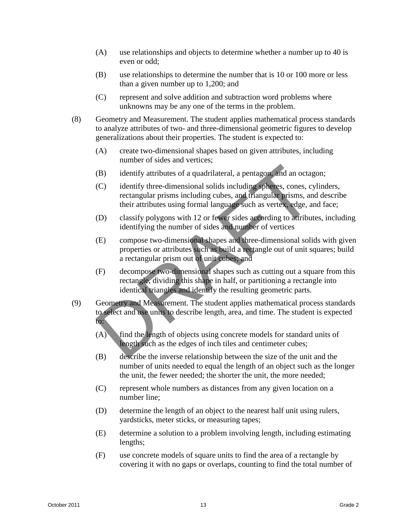- (A) use relationships and objects to determine whether a number up to 40 is even or odd;
- (B) use relationships to determine the number that is 10 or 100 more or less than a given number up to 1,200; and
- (C) represent and solve addition and subtraction word problems where unknowns may be any one of the terms in the problem.
- (8) Geometry and Measurement. The student applies mathematical process standards to analyze attributes of two- and three-dimensional geometric figures to develop generalizations about their properties. The student is expected to:
	- (A) create two-dimensional shapes based on given attributes, including number of sides and vertices;
	- (B) identify attributes of a quadrilateral, a pentagon, and an octagon;
	- (C) identify three-dimensional solids including spheres, cones, cylinders, rectangular prisms including cubes, and triangular prisms, and describe their attributes using formal language such as vertex, edge, and face;
	- (D) classify polygons with 12 or fewer sides according to attributes, including identifying the number of sides and number of vertices
	- (E) compose two-dimensional shapes and three-dimensional solids with given properties or attributes such as build a rectangle out of unit squares; build a rectangular prism out of unit cubes; and (B) identify attributes of a quadrilateral, a pentagon, and an octa<br>
	(C) identify three-dimensional solids including spheres, cones, cy<br>
	rectangular prisms including cubes, and triangular prisms, an<br>
	their attributes usin
	- (F) decompose two-dimensional shapes such as cutting out a square from this rectangle, dividing this shape in half, or partitioning a rectangle into identical triangles and identify the resulting geometric parts.
- (9) Geometry and Measurement. The student applies mathematical process standards to select and use units to describe length, area, and time. The student is expected to:
	- (A) find the length of objects using concrete models for standard units of length such as the edges of inch tiles and centimeter cubes;
	- (B) describe the inverse relationship between the size of the unit and the number of units needed to equal the length of an object such as the longer the unit, the fewer needed; the shorter the unit, the more needed;
	- (C) represent whole numbers as distances from any given location on a number line;
	- (D) determine the length of an object to the nearest half unit using rulers, yardsticks, meter sticks, or measuring tapes;
	- (E) determine a solution to a problem involving length, including estimating lengths;
	- (F) use concrete models of square units to find the area of a rectangle by covering it with no gaps or overlaps, counting to find the total number of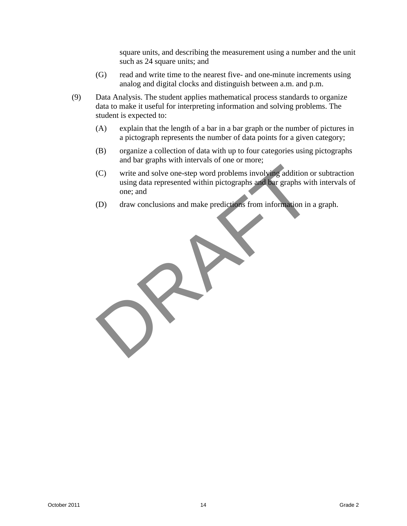square units, and describing the measurement using a number and the unit such as 24 square units; and

- (G) read and write time to the nearest five- and one-minute increments using analog and digital clocks and distinguish between a.m. and p.m.
- (9) Data Analysis. The student applies mathematical process standards to organize data to make it useful for interpreting information and solving problems. The student is expected to:
	- (A) explain that the length of a bar in a bar graph or the number of pictures in a pictograph represents the number of data points for a given category;
	- (B) organize a collection of data with up to four categories using pictographs and bar graphs with intervals of one or more;
	- (C) write and solve one-step word problems involving addition or subtraction using data represented within pictographs and bar graphs with intervals of one; and (C) write and solve one-step word problems involving addition of using data represented within pictographs and bar graphs with one; and draw conclusions and make predictions from information in a
	- (D) draw conclusions and make predictions from information in a graph.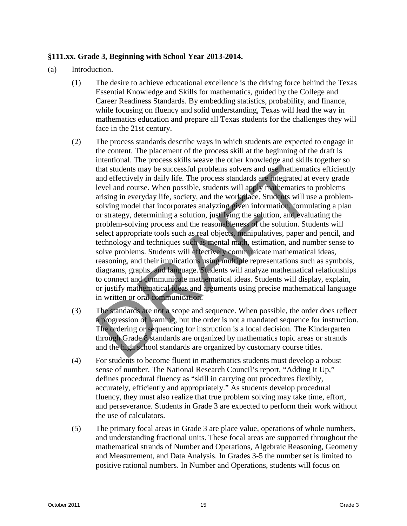# **§111.xx. Grade 3, Beginning with School Year 2013-2014.**

- (a) Introduction.
	- (1) The desire to achieve educational excellence is the driving force behind the Texas Essential Knowledge and Skills for mathematics, guided by the College and Career Readiness Standards. By embedding statistics, probability, and finance, while focusing on fluency and solid understanding, Texas will lead the way in mathematics education and prepare all Texas students for the challenges they will face in the 21st century.
	- (2) The process standards describe ways in which students are expected to engage in the content. The placement of the process skill at the beginning of the draft is intentional. The process skills weave the other knowledge and skills together so that students may be successful problems solvers and use mathematics efficiently and effectively in daily life. The process standards are integrated at every grade level and course. When possible, students will apply mathematics to problems arising in everyday life, society, and the workplace. Students will use a problemsolving model that incorporates analyzing given information, formulating a plan or strategy, determining a solution, justifying the solution, and evaluating the problem-solving process and the reasonableness of the solution. Students will select appropriate tools such as real objects, manipulatives, paper and pencil, and technology and techniques such as mental math, estimation, and number sense to solve problems. Students will effectively communicate mathematical ideas, reasoning, and their implications using multiple representations such as symbols, diagrams, graphs, and language. Students will analyze mathematical relationships to connect and communicate mathematical ideas. Students will display, explain, or justify mathematical ideas and arguments using precise mathematical language in written or oral communication. means and the precise states. The process that we have the state of the base of the students may be successful problems solvers and use mathematics to arising in everyday life, society, and the work place. Students will us
	- (3) The standards are not a scope and sequence. When possible, the order does reflect a progression of learning, but the order is not a mandated sequence for instruction. The ordering or sequencing for instruction is a local decision. The Kindergarten through Grade 8 standards are organized by mathematics topic areas or strands and the high school standards are organized by customary course titles.
	- (4) For students to become fluent in mathematics students must develop a robust sense of number. The National Research Council's report, "Adding It Up," defines procedural fluency as "skill in carrying out procedures flexibly, accurately, efficiently and appropriately." As students develop procedural fluency, they must also realize that true problem solving may take time, effort, and perseverance. Students in Grade 3 are expected to perform their work without the use of calculators.
	- (5) The primary focal areas in Grade 3 are place value, operations of whole numbers, and understanding fractional units. These focal areas are supported throughout the mathematical strands of Number and Operations, Algebraic Reasoning, Geometry and Measurement, and Data Analysis. In Grades 3-5 the number set is limited to positive rational numbers. In Number and Operations, students will focus on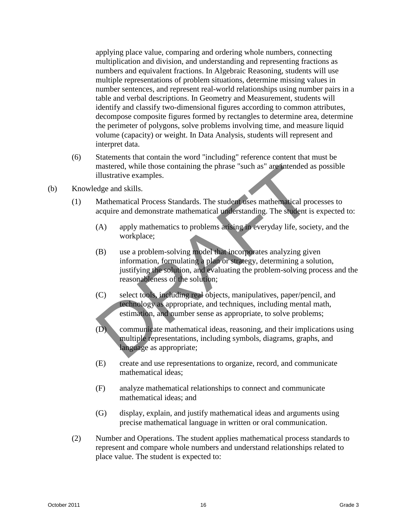applying place value, comparing and ordering whole numbers, connecting multiplication and division, and understanding and representing fractions as numbers and equivalent fractions. In Algebraic Reasoning, students will use multiple representations of problem situations, determine missing values in number sentences, and represent real-world relationships using number pairs in a table and verbal descriptions. In Geometry and Measurement, students will identify and classify two-dimensional figures according to common attributes, decompose composite figures formed by rectangles to determine area, determine the perimeter of polygons, solve problems involving time, and measure liquid volume (capacity) or weight. In Data Analysis, students will represent and interpret data.

- (6) Statements that contain the word "including" reference content that must be mastered, while those containing the phrase "such as" are intended as possible illustrative examples.
- (b) Knowledge and skills.
	- (1) Mathematical Process Standards. The student uses mathematical processes to acquire and demonstrate mathematical understanding. The student is expected to:
		- (A) apply mathematics to problems arising in everyday life, society, and the workplace;
- (B) use a problem-solving model that incorporates analyzing given information, formulating a plan or strategy, determining a solution, justifying the solution, and evaluating the problem-solving process and the reasonableness of the solution; mastered, while those containing the phrase "such as" are intended a<br>
illustrative examples.<br>
Edge and skills.<br>
Mathematical Process Standards. The student uses mathematical pro<br>
acquire and demonstrate mathematical unders
	- (C) select tools, including real objects, manipulatives, paper/pencil, and technology as appropriate, and techniques, including mental math, estimation, and number sense as appropriate, to solve problems;
	- (D) communicate mathematical ideas, reasoning, and their implications using multiple representations, including symbols, diagrams, graphs, and language as appropriate;
	- (E) create and use representations to organize, record, and communicate mathematical ideas;
	- (F) analyze mathematical relationships to connect and communicate mathematical ideas; and
	- (G) display, explain, and justify mathematical ideas and arguments using precise mathematical language in written or oral communication.
	- (2) Number and Operations. The student applies mathematical process standards to represent and compare whole numbers and understand relationships related to place value. The student is expected to: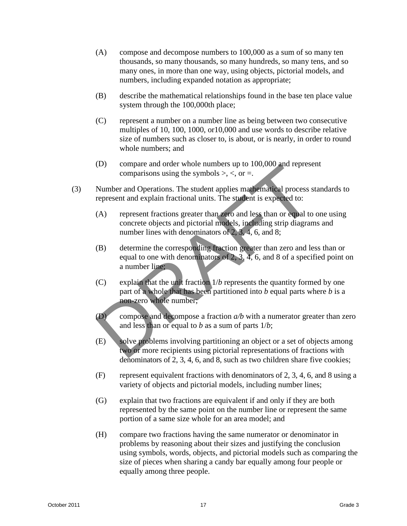- (A) compose and decompose numbers to 100,000 as a sum of so many ten thousands, so many thousands, so many hundreds, so many tens, and so many ones, in more than one way, using objects, pictorial models, and numbers, including expanded notation as appropriate;
- (B) describe the mathematical relationships found in the base ten place value system through the 100,000th place;
- (C) represent a number on a number line as being between two consecutive multiples of 10, 100, 1000, or10,000 and use words to describe relative size of numbers such as closer to, is about, or is nearly, in order to round whole numbers; and
- (D) compare and order whole numbers up to 100,000 and represent comparisons using the symbols  $>$ ,  $\lt$ , or  $=$ .
- (3) Number and Operations. The student applies mathematical process standards to represent and explain fractional units. The student is expected to:
	- (A) represent fractions greater than zero and less than or equal to one using concrete objects and pictorial models, including strip diagrams and number lines with denominators of 2, 3, 4, 6, and 8;
	- (B) determine the corresponding fraction greater than zero and less than or equal to one with denominators of 2, 3, 4, 6, and 8 of a specified point on a number line;
- (C) explain that the unit fraction 1/*b* represents the quantity formed by one part of a whole that has been partitioned into *b* equal parts where *b* is a non-zero whole number; (D) compare and order whole numbers up to 100,000 and represe<br>comparisons using the symbols >, <, or =.<br>Number and Operations. The student applies mathematical process s<br>represent and explain fractional units. The student
	- (D) compose and decompose a fraction  $a/b$  with a numerator greater than zero and less than or equal to *b* as a sum of parts 1/*b*;
	- (E) solve problems involving partitioning an object or a set of objects among two or more recipients using pictorial representations of fractions with denominators of 2, 3, 4, 6, and 8, such as two children share five cookies;
	- (F) represent equivalent fractions with denominators of 2, 3, 4, 6, and 8 using a variety of objects and pictorial models, including number lines;
	- (G) explain that two fractions are equivalent if and only if they are both represented by the same point on the number line or represent the same portion of a same size whole for an area model; and
	- (H) compare two fractions having the same numerator or denominator in problems by reasoning about their sizes and justifying the conclusion using symbols, words, objects, and pictorial models such as comparing the size of pieces when sharing a candy bar equally among four people or equally among three people.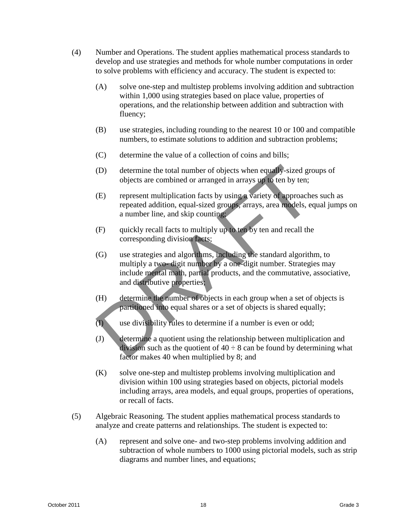- (4) Number and Operations. The student applies mathematical process standards to develop and use strategies and methods for whole number computations in order to solve problems with efficiency and accuracy. The student is expected to:
	- (A) solve one-step and multistep problems involving addition and subtraction within 1,000 using strategies based on place value, properties of operations, and the relationship between addition and subtraction with fluency;
	- (B) use strategies, including rounding to the nearest 10 or 100 and compatible numbers, to estimate solutions to addition and subtraction problems;
	- (C) determine the value of a collection of coins and bills;
	- (D) determine the total number of objects when equally-sized groups of objects are combined or arranged in arrays up to ten by ten;
	- (E) represent multiplication facts by using a variety of approaches such as repeated addition, equal-sized groups, arrays, area models, equal jumps on a number line, and skip counting;
	- (F) quickly recall facts to multiply up to ten by ten and recall the corresponding division facts;
	- (G) use strategies and algorithms, including the standard algorithm, to multiply a two- digit number by a one-digit number. Strategies may include mental math, partial products, and the commutative, associative, and distributive properties; (D) determine the total number of objects when equally-sized grobiects are combined or arranged in arrays up to ten by ten;<br>
	(E) represent multiplication facts by using a variety of approache repeated addition, equal-size
	- (H) determine the number of objects in each group when a set of objects is partitioned into equal shares or a set of objects is shared equally;
	- (I) use divisibility rules to determine if a number is even or odd;
	- (J) determine a quotient using the relationship between multiplication and division such as the quotient of  $40 \div 8$  can be found by determining what factor makes 40 when multiplied by 8; and
	- (K) solve one-step and multistep problems involving multiplication and division within 100 using strategies based on objects, pictorial models including arrays, area models, and equal groups, properties of operations, or recall of facts.
- (5) Algebraic Reasoning. The student applies mathematical process standards to analyze and create patterns and relationships. The student is expected to:
	- (A) represent and solve one- and two-step problems involving addition and subtraction of whole numbers to 1000 using pictorial models, such as strip diagrams and number lines, and equations;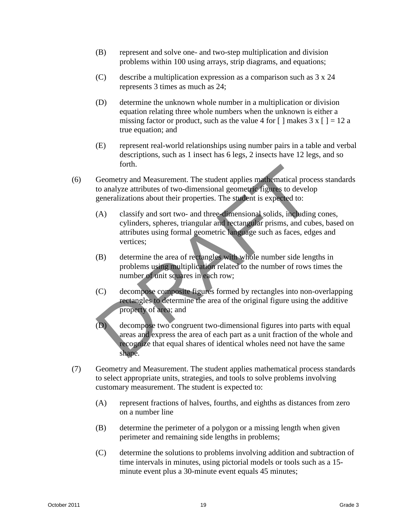- (B) represent and solve one- and two-step multiplication and division problems within 100 using arrays, strip diagrams, and equations;
- (C) describe a multiplication expression as a comparison such as 3 x 24 represents 3 times as much as 24;
- (D) determine the unknown whole number in a multiplication or division equation relating three whole numbers when the unknown is either a missing factor or product, such as the value 4 for  $\lceil \cdot \rceil$  makes 3 x  $\lceil \cdot \rceil = 12$  a true equation; and
- (E) represent real-world relationships using number pairs in a table and verbal descriptions, such as 1 insect has 6 legs, 2 insects have 12 legs, and so forth.
- (6) Geometry and Measurement. The student applies mathematical process standards to analyze attributes of two-dimensional geometric figures to develop generalizations about their properties. The student is expected to:
	- (A) classify and sort two- and three-dimensional solids, including cones, cylinders, spheres, triangular and rectangular prisms, and cubes, based on attributes using formal geometric language such as faces, edges and vertices;
	- (B) determine the area of rectangles with whole number side lengths in problems using multiplication related to the number of rows times the number of unit squares in each row;
	- (C) decompose composite figures formed by rectangles into non-overlapping rectangles to determine the area of the original figure using the additive property of area; and
- (D) decompose two congruent two-dimensional figures into parts with equal areas and express the area of each part as a unit fraction of the whole and recognize that equal shares of identical wholes need not have the same shape. From the student The student applies mathematical process to analyze attributes of two-dimensional geometric figures to develop generalizations about their properties. The student is expected to:<br>
(A) classify and sort two
- (7) Geometry and Measurement. The student applies mathematical process standards to select appropriate units, strategies, and tools to solve problems involving customary measurement. The student is expected to:
	- (A) represent fractions of halves, fourths, and eighths as distances from zero on a number line
	- (B) determine the perimeter of a polygon or a missing length when given perimeter and remaining side lengths in problems;
	- (C) determine the solutions to problems involving addition and subtraction of time intervals in minutes, using pictorial models or tools such as a 15 minute event plus a 30-minute event equals 45 minutes;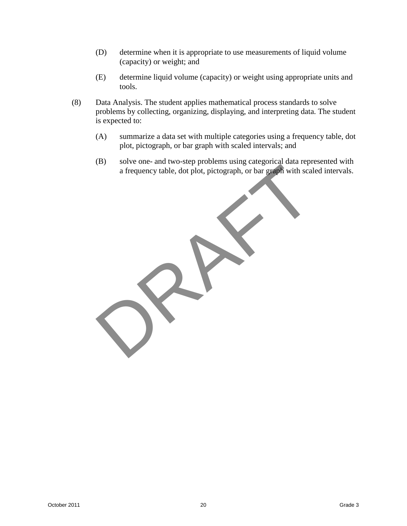- (D) determine when it is appropriate to use measurements of liquid volume (capacity) or weight; and
- (E) determine liquid volume (capacity) or weight using appropriate units and tools.
- (8) Data Analysis. The student applies mathematical process standards to solve problems by collecting, organizing, displaying, and interpreting data. The student is expected to:
	- (A) summarize a data set with multiple categories using a frequency table, dot plot, pictograph, or bar graph with scaled intervals; and
	- (B) solve one- and two-step problems using categorical data represented with a frequency table, dot plot, pictograph, or bar graph with scaled intervals.

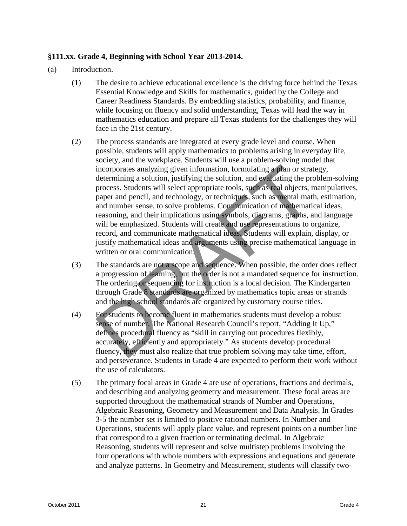# **§111.xx. Grade 4, Beginning with School Year 2013-2014.**

- (a) Introduction.
	- (1) The desire to achieve educational excellence is the driving force behind the Texas Essential Knowledge and Skills for mathematics, guided by the College and Career Readiness Standards. By embedding statistics, probability, and finance, while focusing on fluency and solid understanding, Texas will lead the way in mathematics education and prepare all Texas students for the challenges they will face in the 21st century.
	- (2) The process standards are integrated at every grade level and course. When possible, students will apply mathematics to problems arising in everyday life, society, and the workplace. Students will use a problem-solving model that incorporates analyzing given information, formulating a plan or strategy, determining a solution, justifying the solution, and evaluating the problem-solving process. Students will select appropriate tools, such as real objects, manipulatives, paper and pencil, and technology, or techniques, such as mental math, estimation, and number sense, to solve problems. Communication of mathematical ideas, reasoning, and their implications using symbols, diagrams, graphs, and language will be emphasized. Students will create and use representations to organize, record, and communicate mathematical ideas. Students will explain, display, or justify mathematical ideas and arguments using precise mathematical language in written or oral communication. isomorporates analyzing irren incrementation, formulating at plan or strate-<br>incorporates analyzing given information, formulating a plan or strate<br>determining a solution, justifying the solution, and evaluating the pro-<br>p
	- (3) The standards are not a scope and sequence. When possible, the order does reflect a progression of learning, but the order is not a mandated sequence for instruction. The ordering or sequencing for instruction is a local decision. The Kindergarten through Grade 8 standards are organized by mathematics topic areas or strands and the high school standards are organized by customary course titles.
	- (4) For students to become fluent in mathematics students must develop a robust sense of number. The National Research Council's report, "Adding It Up," defines procedural fluency as "skill in carrying out procedures flexibly, accurately, efficiently and appropriately." As students develop procedural fluency, they must also realize that true problem solving may take time, effort, and perseverance. Students in Grade 4 are expected to perform their work without the use of calculators.
	- (5) The primary focal areas in Grade 4 are use of operations, fractions and decimals, and describing and analyzing geometry and measurement. These focal areas are supported throughout the mathematical strands of Number and Operations, Algebraic Reasoning, Geometry and Measurement and Data Analysis. In Grades 3-5 the number set is limited to positive rational numbers. In Number and Operations, students will apply place value, and represent points on a number line that correspond to a given fraction or terminating decimal. In Algebraic Reasoning, students will represent and solve multistep problems involving the four operations with whole numbers with expressions and equations and generate and analyze patterns. In Geometry and Measurement, students will classify two-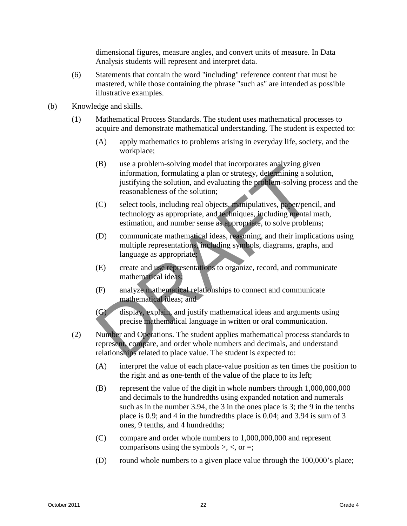dimensional figures, measure angles, and convert units of measure. In Data Analysis students will represent and interpret data.

- (6) Statements that contain the word "including" reference content that must be mastered, while those containing the phrase "such as" are intended as possible illustrative examples.
- (b) Knowledge and skills.
	- (1) Mathematical Process Standards. The student uses mathematical processes to acquire and demonstrate mathematical understanding. The student is expected to:
		- (A) apply mathematics to problems arising in everyday life, society, and the workplace;
		- (B) use a problem-solving model that incorporates analyzing given information, formulating a plan or strategy, determining a solution, justifying the solution, and evaluating the problem-solving process and the reasonableness of the solution; (B) use a problem-solving model that incorporates analyzing give<br>information, formulating a plan or strategy, determining a sol<br>justifying the solution, and evaluating the problem-solving pr<br>reasonableness of the solution;
		- (C) select tools, including real objects, manipulatives, paper/pencil, and technology as appropriate, and techniques, including mental math, estimation, and number sense as appropriate, to solve problems;
		- (D) communicate mathematical ideas, reasoning, and their implications using multiple representations, including symbols, diagrams, graphs, and language as appropriate;
		- (E) create and use representations to organize, record, and communicate mathematical ideas;
		- (F) analyze mathematical relationships to connect and communicate mathematical ideas; and
		- (G) display, explain, and justify mathematical ideas and arguments using precise mathematical language in written or oral communication.
	- (2) Number and Operations. The student applies mathematical process standards to represent, compare, and order whole numbers and decimals, and understand relationships related to place value. The student is expected to:
		- (A) interpret the value of each place-value position as ten times the position to the right and as one-tenth of the value of the place to its left;
		- (B) represent the value of the digit in whole numbers through 1,000,000,000 and decimals to the hundredths using expanded notation and numerals such as in the number 3.94, the 3 in the ones place is 3; the 9 in the tenths place is 0.9; and 4 in the hundredths place is 0.04; and 3.94 is sum of 3 ones, 9 tenths, and 4 hundredths;
		- (C) compare and order whole numbers to 1,000,000,000 and represent comparisons using the symbols  $\geq, \leq,$  or  $=$ ;
		- (D) round whole numbers to a given place value through the 100,000's place;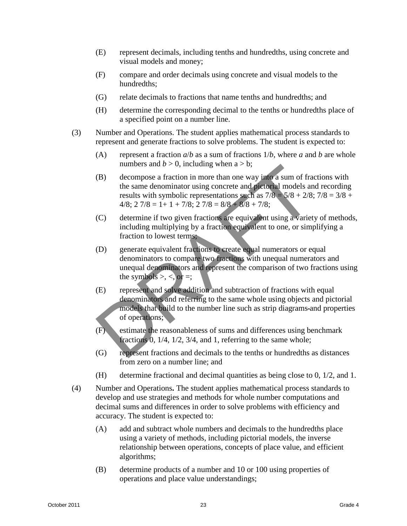- (E) represent decimals, including tenths and hundredths, using concrete and visual models and money;
- (F) compare and order decimals using concrete and visual models to the hundredths;
- (G) relate decimals to fractions that name tenths and hundredths; and
- (H) determine the corresponding decimal to the tenths or hundredths place of a specified point on a number line.
- (3) Number and Operations. The student applies mathematical process standards to represent and generate fractions to solve problems. The student is expected to:
	- (A) represent a fraction  $a/b$  as a sum of fractions  $1/b$ , where *a* and *b* are whole numbers and  $b > 0$ , including when  $a > b$ ;
	- (B) decompose a fraction in more than one way into a sum of fractions with the same denominator using concrete and pictorial models and recording results with symbolic representations such as  $7/8 - 5/8 + 2/8$ ;  $7/8 = 3/8 + 1/8$  $4/8$ ;  $2 \frac{7}{8} = 1 + 1 + \frac{7}{8}$ ;  $2 \frac{7}{8} = \frac{8}{8} + \frac{8}{8} + \frac{7}{8}$ ;
	- (C) determine if two given fractions are equivalent using a variety of methods, including multiplying by a fraction equivalent to one, or simplifying a fraction to lowest terms;
	- (D) generate equivalent fractions to create equal numerators or equal denominators to compare two fractions with unequal numerators and unequal denominators and represent the comparison of two fractions using the symbols  $>$ ,  $\lt$ , or  $=$ ;
	- (E) represent and solve addition and subtraction of fractions with equal denominators and referring to the same whole using objects and pictorial models that build to the number line such as strip diagrams and properties of operations; numbers and  $b > 0$ , including when a > b;<br>
	(B) decompose a fraction in more than one way into a sum of fraction<br>
	the same denominator using concrete and pictorial models an<br>
	results with symbolic representations such as
	- (F) estimate the reasonableness of sums and differences using benchmark fractions 0, 1/4, 1/2, 3/4, and 1, referring to the same whole;
	- (G) represent fractions and decimals to the tenths or hundredths as distances from zero on a number line; and
	- (H) determine fractional and decimal quantities as being close to 0, 1/2, and 1.
- (4) Number and Operations**.** The student applies mathematical process standards to develop and use strategies and methods for whole number computations and decimal sums and differences in order to solve problems with efficiency and accuracy. The student is expected to:
	- (A) add and subtract whole numbers and decimals to the hundredths place using a variety of methods, including pictorial models, the inverse relationship between operations, concepts of place value, and efficient algorithms;
	- (B) determine products of a number and 10 or 100 using properties of operations and place value understandings;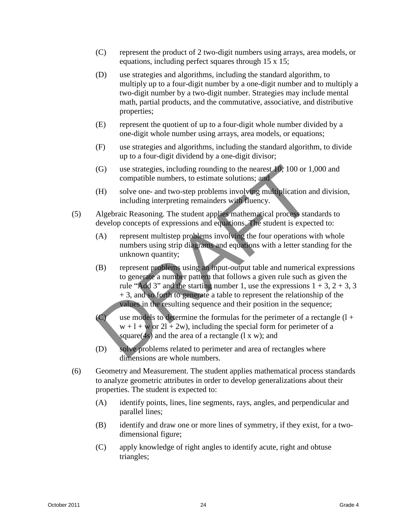- (C) represent the product of 2 two-digit numbers using arrays, area models, or equations, including perfect squares through 15 x 15;
- (D) use strategies and algorithms, including the standard algorithm, to multiply up to a four-digit number by a one-digit number and to multiply a two-digit number by a two-digit number. Strategies may include mental math, partial products, and the commutative, associative, and distributive properties;
- (E) represent the quotient of up to a four-digit whole number divided by a one-digit whole number using arrays, area models, or equations;
- (F) use strategies and algorithms, including the standard algorithm, to divide up to a four-digit dividend by a one-digit divisor;
- (G) use strategies, including rounding to the nearest 10, 100 or 1,000 and compatible numbers, to estimate solutions; and
- (H) solve one- and two-step problems involving multiplication and division, including interpreting remainders with fluency.
- (5) Algebraic Reasoning. The student applies mathematical process standards to develop concepts of expressions and equations. The student is expected to:
	- (A) represent multistep problems involving the four operations with whole numbers using strip diagrams and equations with a letter standing for the unknown quantity;
- (B) represent problems using an input-output table and numerical expressions to generate a number pattern that follows a given rule such as given the rule "Add 3" and the starting number 1, use the expressions  $1 + 3$ ,  $2 + 3$ , 3 + 3, and so forth to generate a table to represent the relationship of the values in the resulting sequence and their position in the sequence; (G) use strategies, including rounding to the nearest 10, 100 or 1,<br>compatible numbers, to estimate solutions; and<br>(H) solve one- and two-step problems involving multiplication are including interpreting remainders with f
	- (C) use models to determine the formulas for the perimeter of a rectangle  $(1 +$  $w + 1 + w$  or  $21 + 2w$ , including the special form for perimeter of a square(4s) and the area of a rectangle  $(1 x w)$ ; and
	- (D) solve problems related to perimeter and area of rectangles where dimensions are whole numbers.
- (6) Geometry and Measurement. The student applies mathematical process standards to analyze geometric attributes in order to develop generalizations about their properties. The student is expected to:
	- (A) identify points, lines, line segments, rays, angles, and perpendicular and parallel lines;
	- (B) identify and draw one or more lines of symmetry, if they exist, for a twodimensional figure;
	- (C) apply knowledge of right angles to identify acute, right and obtuse triangles;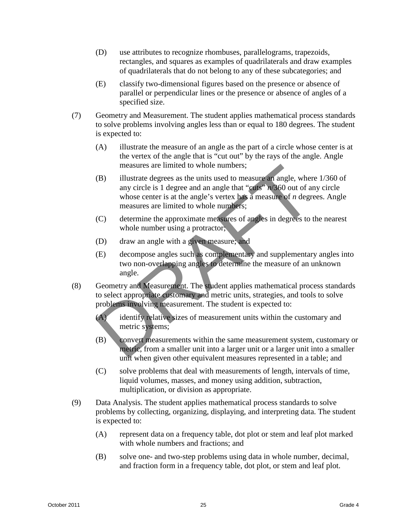- (D) use attributes to recognize rhombuses, parallelograms, trapezoids, rectangles, and squares as examples of quadrilaterals and draw examples of quadrilaterals that do not belong to any of these subcategories; and
- (E) classify two-dimensional figures based on the presence or absence of parallel or perpendicular lines or the presence or absence of angles of a specified size.
- (7) Geometry and Measurement. The student applies mathematical process standards to solve problems involving angles less than or equal to 180 degrees. The student is expected to:
	- (A) illustrate the measure of an angle as the part of a circle whose center is at the vertex of the angle that is "cut out" by the rays of the angle. Angle measures are limited to whole numbers;
	- (B) illustrate degrees as the units used to measure an angle, where 1/360 of any circle is 1 degree and an angle that "cuts" *n*/360 out of any circle whose center is at the angle's vertex has a measure of *n* degrees. Angle measures are limited to whole numbers; measures are limited to whole numbers;<br>
	(B) illustrate degrees as the units used to measure an angle, where<br>
	any circle is 1 degree and an angle that "cuts" m/360 out of are<br>
	whose center is at the angle's vertex has a mea
	- (C) determine the approximate measures of angles in degrees to the nearest whole number using a protractor;
	- (D) draw an angle with a given measure; and
	- (E) decompose angles such as complementary and supplementary angles into two non-overlapping angles to determine the measure of an unknown angle.
- (8) Geometry and Measurement. The student applies mathematical process standards to select appropriate customary and metric units, strategies, and tools to solve problems involving measurement. The student is expected to:
	- (A) identify relative sizes of measurement units within the customary and metric systems;
	- (B) convert measurements within the same measurement system, customary or metric, from a smaller unit into a larger unit or a larger unit into a smaller unit when given other equivalent measures represented in a table; and
	- (C) solve problems that deal with measurements of length, intervals of time, liquid volumes, masses, and money using addition, subtraction, multiplication, or division as appropriate.
- (9) Data Analysis. The student applies mathematical process standards to solve problems by collecting, organizing, displaying, and interpreting data. The student is expected to:
	- (A) represent data on a frequency table, dot plot or stem and leaf plot marked with whole numbers and fractions; and
	- (B) solve one- and two-step problems using data in whole number, decimal, and fraction form in a frequency table, dot plot, or stem and leaf plot.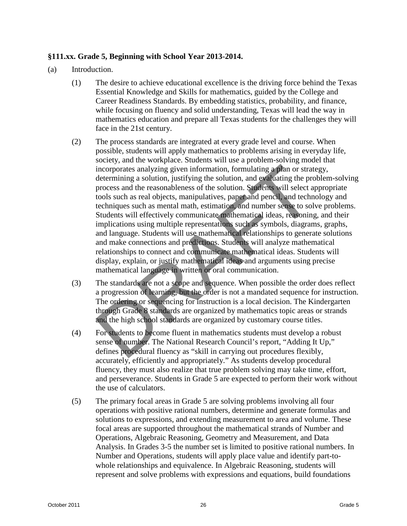# **§111.xx. Grade 5, Beginning with School Year 2013-2014.**

- (a) Introduction.
	- (1) The desire to achieve educational excellence is the driving force behind the Texas Essential Knowledge and Skills for mathematics, guided by the College and Career Readiness Standards. By embedding statistics, probability, and finance, while focusing on fluency and solid understanding, Texas will lead the way in mathematics education and prepare all Texas students for the challenges they will face in the 21st century.
	- (2) The process standards are integrated at every grade level and course. When possible, students will apply mathematics to problems arising in everyday life, society, and the workplace. Students will use a problem-solving model that incorporates analyzing given information, formulating a plan or strategy, determining a solution, justifying the solution, and evaluating the problem-solving process and the reasonableness of the solution. Students will select appropriate tools such as real objects, manipulatives, paper and pencil, and technology and techniques such as mental math, estimation, and number sense to solve problems. Students will effectively communicate mathematical ideas, reasoning, and their implications using multiple representations such as symbols, diagrams, graphs, and language. Students will use mathematical relationships to generate solutions and make connections and predictions. Students will analyze mathematical relationships to connect and communicate mathematical ideas. Students will display, explain, or justify mathematical ideas and arguments using precise mathematical language in written or oral communication. isomorporates analyzing irren information, formulating at plan or strate-<br>incorporates analyzing given information, formulating a plan or strate<br>determining a solution, justifying the solution, and evaluating the pro-<br>proc
	- (3) The standards are not a scope and sequence. When possible the order does reflect a progression of learning, but the order is not a mandated sequence for instruction. The ordering or sequencing for instruction is a local decision. The Kindergarten through Grade 8 standards are organized by mathematics topic areas or strands and the high school standards are organized by customary course titles.
	- (4) For students to become fluent in mathematics students must develop a robust sense of number. The National Research Council's report, "Adding It Up," defines procedural fluency as "skill in carrying out procedures flexibly, accurately, efficiently and appropriately." As students develop procedural fluency, they must also realize that true problem solving may take time, effort, and perseverance. Students in Grade 5 are expected to perform their work without the use of calculators.
	- (5) The primary focal areas in Grade 5 are solving problems involving all four operations with positive rational numbers, determine and generate formulas and solutions to expressions, and extending measurement to area and volume. These focal areas are supported throughout the mathematical strands of Number and Operations, Algebraic Reasoning, Geometry and Measurement, and Data Analysis. In Grades 3-5 the number set is limited to positive rational numbers. In Number and Operations, students will apply place value and identify part-towhole relationships and equivalence. In Algebraic Reasoning, students will represent and solve problems with expressions and equations, build foundations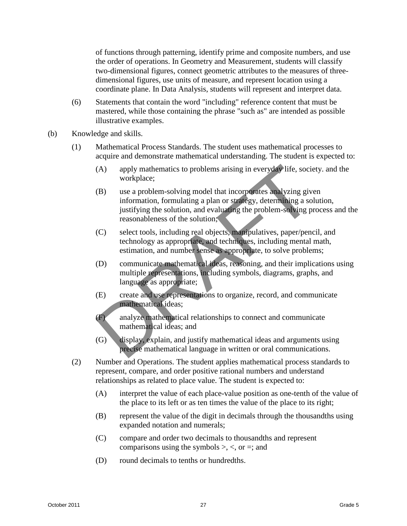of functions through patterning, identify prime and composite numbers, and use the order of operations. In Geometry and Measurement, students will classify two-dimensional figures, connect geometric attributes to the measures of threedimensional figures, use units of measure, and represent location using a coordinate plane. In Data Analysis, students will represent and interpret data.

- (6) Statements that contain the word "including" reference content that must be mastered, while those containing the phrase "such as" are intended as possible illustrative examples.
- (b) Knowledge and skills.
	- (1) Mathematical Process Standards. The student uses mathematical processes to acquire and demonstrate mathematical understanding. The student is expected to:
		- (A) apply mathematics to problems arising in everyday life, society. and the workplace;
		- (B) use a problem-solving model that incorporates analyzing given information, formulating a plan or strategy, determining a solution, justifying the solution, and evaluating the problem-solving process and the reasonableness of the solution; (A) apply mathematics to problems arising in everyday life, sociency<br>
		workplace;<br>
		(B) use a problem-solving model that incorporates analyzing give<br>
		information, formulating a plan or strategy, determining a sol<br>
		justifying
		- (C) select tools, including real objects, manipulatives, paper/pencil, and technology as appropriate, and techniques, including mental math, estimation, and number sense as appropriate, to solve problems;
		- (D) communicate mathematical ideas, reasoning, and their implications using multiple representations, including symbols, diagrams, graphs, and language as appropriate;
		- (E) create and use representations to organize, record, and communicate mathematical ideas;
		- (F) analyze mathematical relationships to connect and communicate mathematical ideas; and
		- (G) display, explain, and justify mathematical ideas and arguments using precise mathematical language in written or oral communications.
	- (2) Number and Operations. The student applies mathematical process standards to represent, compare, and order positive rational numbers and understand relationships as related to place value. The student is expected to:
		- (A) interpret the value of each place-value position as one-tenth of the value of the place to its left or as ten times the value of the place to its right;
		- (B) represent the value of the digit in decimals through the thousandths using expanded notation and numerals;
		- (C) compare and order two decimals to thousandths and represent comparisons using the symbols  $\geq, \leq,$  or  $=$ ; and
		- (D) round decimals to tenths or hundredths.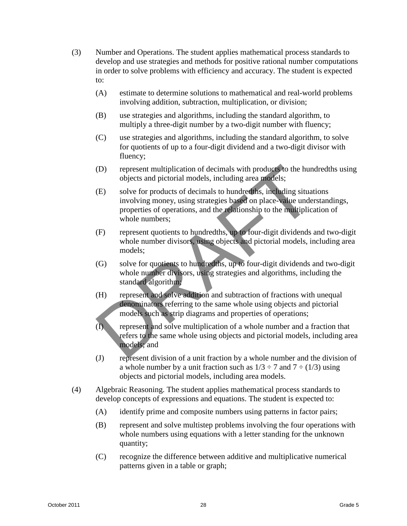- (3) Number and Operations. The student applies mathematical process standards to develop and use strategies and methods for positive rational number computations in order to solve problems with efficiency and accuracy. The student is expected to:
	- (A) estimate to determine solutions to mathematical and real-world problems involving addition, subtraction, multiplication, or division;
	- (B) use strategies and algorithms, including the standard algorithm, to multiply a three-digit number by a two-digit number with fluency;
	- (C) use strategies and algorithms, including the standard algorithm, to solve for quotients of up to a four-digit dividend and a two-digit divisor with fluency;
	- (D) represent multiplication of decimals with products to the hundredths using objects and pictorial models, including area models;
	- (E) solve for products of decimals to hundredths, including situations involving money, using strategies based on place-value understandings, properties of operations, and the relationship to the multiplication of whole numbers; (D) represent multiplication of decimals with products to the hun<br>objects and pictorial models, including area models;<br>(E) solve for products of decimals to hundreddns, including situat<br>involving money, using strategies ba
	- (F) represent quotients to hundredths, up to four-digit dividends and two-digit whole number divisors, using objects and pictorial models, including area models;
	- (G) solve for quotients to hundredths, up to four-digit dividends and two-digit whole number divisors, using strategies and algorithms, including the standard algorithm;
	- (H) represent and solve addition and subtraction of fractions with unequal denominators referring to the same whole using objects and pictorial models such as strip diagrams and properties of operations;
	- $\overline{I}$  represent and solve multiplication of a whole number and a fraction that refers to the same whole using objects and pictorial models, including area models; and
	- (J) represent division of a unit fraction by a whole number and the division of a whole number by a unit fraction such as  $1/3 \div 7$  and  $7 \div (1/3)$  using objects and pictorial models, including area models.
- (4) Algebraic Reasoning. The student applies mathematical process standards to develop concepts of expressions and equations. The student is expected to:
	- (A) identify prime and composite numbers using patterns in factor pairs;
	- (B) represent and solve multistep problems involving the four operations with whole numbers using equations with a letter standing for the unknown quantity;
	- (C) recognize the difference between additive and multiplicative numerical patterns given in a table or graph;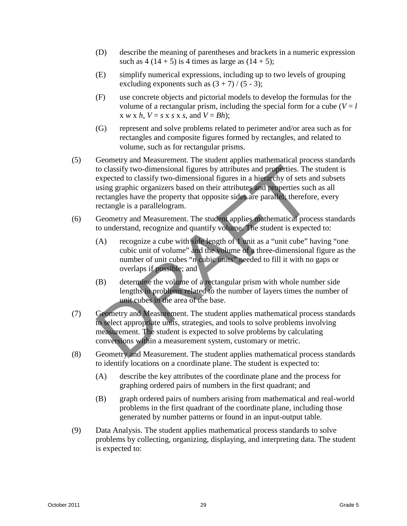- (D) describe the meaning of parentheses and brackets in a numeric expression such as  $4(14 + 5)$  is 4 times as large as  $(14 + 5)$ ;
- (E) simplify numerical expressions, including up to two levels of grouping excluding exponents such as  $(3 + 7) / (5 - 3)$ ;
- (F) use concrete objects and pictorial models to develop the formulas for the volume of a rectangular prism, including the special form for a cube  $(V = l)$  $x \le k$ ,  $V = s \le s \le s$ , and  $V = Bh$ ;
- (G) represent and solve problems related to perimeter and/or area such as for rectangles and composite figures formed by rectangles, and related to volume, such as for rectangular prisms.
- (5) Geometry and Measurement. The student applies mathematical process standards to classify two-dimensional figures by attributes and properties. The student is expected to classify two-dimensional figures in a hierarchy of sets and subsets using graphic organizers based on their attributes and properties such as all rectangles have the property that opposite sides are parallel; therefore, every rectangle is a parallelogram. Consider the value and model and model to classify two-dimensional figures by attributes and properties. The expected to classify two-dimensional figures by attributes and properties such recent expected to classify two-di
- (6) Geometry and Measurement. The student applies mathematical process standards to understand, recognize and quantify volume. The student is expected to:
	- (A) recognize a cube with side length of 1 unit as a "unit cube" having "one cubic unit of volume" and the volume of a three-dimensional figure as the number of unit cubes "*n* cubic units" needed to fill it with no gaps or overlaps if possible; and
	- (B) determine the volume of a rectangular prism with whole number side lengths in problems related to the number of layers times the number of unit cubes in the area of the base.
- (7) Geometry and Measurement. The student applies mathematical process standards to select appropriate units, strategies, and tools to solve problems involving measurement. The student is expected to solve problems by calculating conversions within a measurement system, customary or metric.
- (8) Geometry and Measurement. The student applies mathematical process standards to identify locations on a coordinate plane. The student is expected to:
	- (A) describe the key attributes of the coordinate plane and the process for graphing ordered pairs of numbers in the first quadrant; and
	- (B) graph ordered pairs of numbers arising from mathematical and real-world problems in the first quadrant of the coordinate plane, including those generated by number patterns or found in an input-output table.
- (9) Data Analysis. The student applies mathematical process standards to solve problems by collecting, organizing, displaying, and interpreting data. The student is expected to: